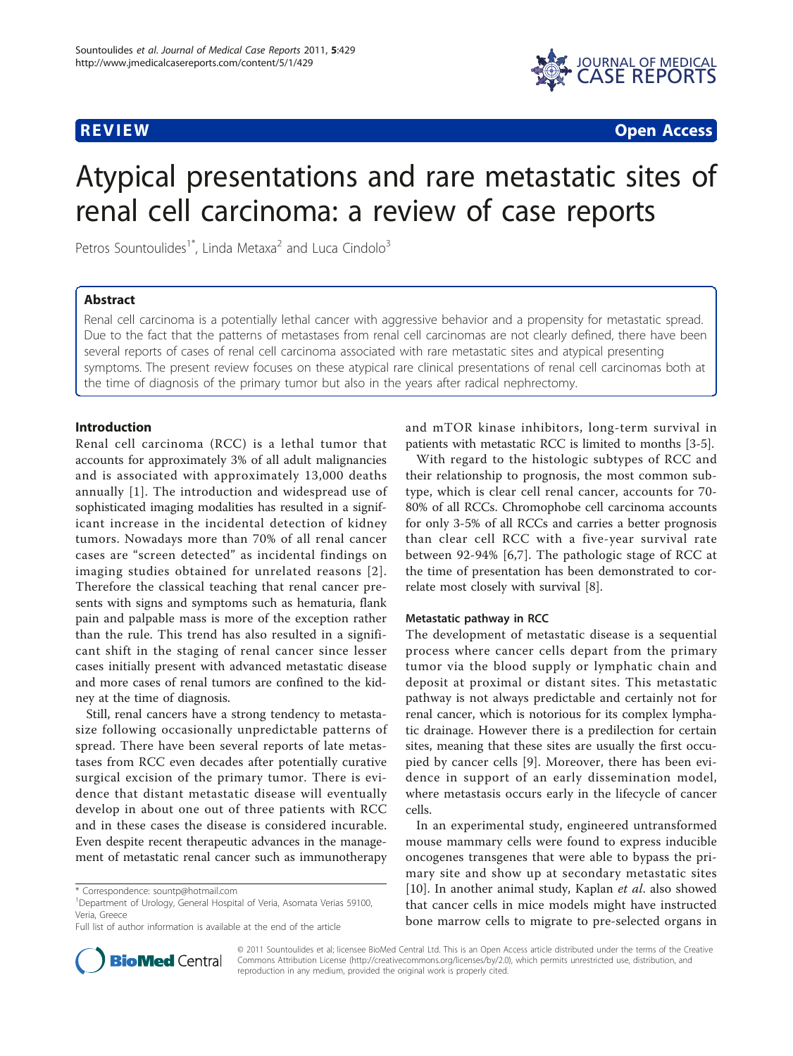

**REVIEW CONSTRUCTION CONSTRUCTION CONSTRUCTS** 

# Atypical presentations and rare metastatic sites of renal cell carcinoma: a review of case reports

Petros Sountoulides<sup>1\*</sup>, Linda Metaxa<sup>2</sup> and Luca Cindolo<sup>3</sup>

# Abstract

Renal cell carcinoma is a potentially lethal cancer with aggressive behavior and a propensity for metastatic spread. Due to the fact that the patterns of metastases from renal cell carcinomas are not clearly defined, there have been several reports of cases of renal cell carcinoma associated with rare metastatic sites and atypical presenting symptoms. The present review focuses on these atypical rare clinical presentations of renal cell carcinomas both at the time of diagnosis of the primary tumor but also in the years after radical nephrectomy.

# Introduction

Renal cell carcinoma (RCC) is a lethal tumor that accounts for approximately 3% of all adult malignancies and is associated with approximately 13,000 deaths annually [\[1](#page-6-0)]. The introduction and widespread use of sophisticated imaging modalities has resulted in a significant increase in the incidental detection of kidney tumors. Nowadays more than 70% of all renal cancer cases are "screen detected" as incidental findings on imaging studies obtained for unrelated reasons [[2\]](#page-6-0). Therefore the classical teaching that renal cancer presents with signs and symptoms such as hematuria, flank pain and palpable mass is more of the exception rather than the rule. This trend has also resulted in a significant shift in the staging of renal cancer since lesser cases initially present with advanced metastatic disease and more cases of renal tumors are confined to the kidney at the time of diagnosis.

Still, renal cancers have a strong tendency to metastasize following occasionally unpredictable patterns of spread. There have been several reports of late metastases from RCC even decades after potentially curative surgical excision of the primary tumor. There is evidence that distant metastatic disease will eventually develop in about one out of three patients with RCC and in these cases the disease is considered incurable. Even despite recent therapeutic advances in the management of metastatic renal cancer such as immunotherapy



With regard to the histologic subtypes of RCC and their relationship to prognosis, the most common subtype, which is clear cell renal cancer, accounts for 70- 80% of all RCCs. Chromophobe cell carcinoma accounts for only 3-5% of all RCCs and carries a better prognosis than clear cell RCC with a five-year survival rate between 92-94% [[6](#page-6-0),[7\]](#page-6-0). The pathologic stage of RCC at the time of presentation has been demonstrated to correlate most closely with survival [[8\]](#page-6-0).

# Metastatic pathway in RCC

The development of metastatic disease is a sequential process where cancer cells depart from the primary tumor via the blood supply or lymphatic chain and deposit at proximal or distant sites. This metastatic pathway is not always predictable and certainly not for renal cancer, which is notorious for its complex lymphatic drainage. However there is a predilection for certain sites, meaning that these sites are usually the first occupied by cancer cells [[9\]](#page-6-0). Moreover, there has been evidence in support of an early dissemination model, where metastasis occurs early in the lifecycle of cancer cells.

In an experimental study, engineered untransformed mouse mammary cells were found to express inducible oncogenes transgenes that were able to bypass the primary site and show up at secondary metastatic sites [[10\]](#page-6-0). In another animal study, Kaplan et al. also showed that cancer cells in mice models might have instructed bone marrow cells to migrate to pre-selected organs in



© 2011 Sountoulides et al; licensee BioMed Central Ltd. This is an Open Access article distributed under the terms of the Creative Commons Attribution License [\(http://creativecommons.org/licenses/by/2.0](http://creativecommons.org/licenses/by/2.0)), which permits unrestricted use, distribution, and reproduction in any medium, provided the original work is properly cited.

<sup>\*</sup> Correspondence: [sountp@hotmail.com](mailto:sountp@hotmail.com)

<sup>&</sup>lt;sup>1</sup>Department of Urology, General Hospital of Veria, Asomata Verias 59100, Veria, Greece

Full list of author information is available at the end of the article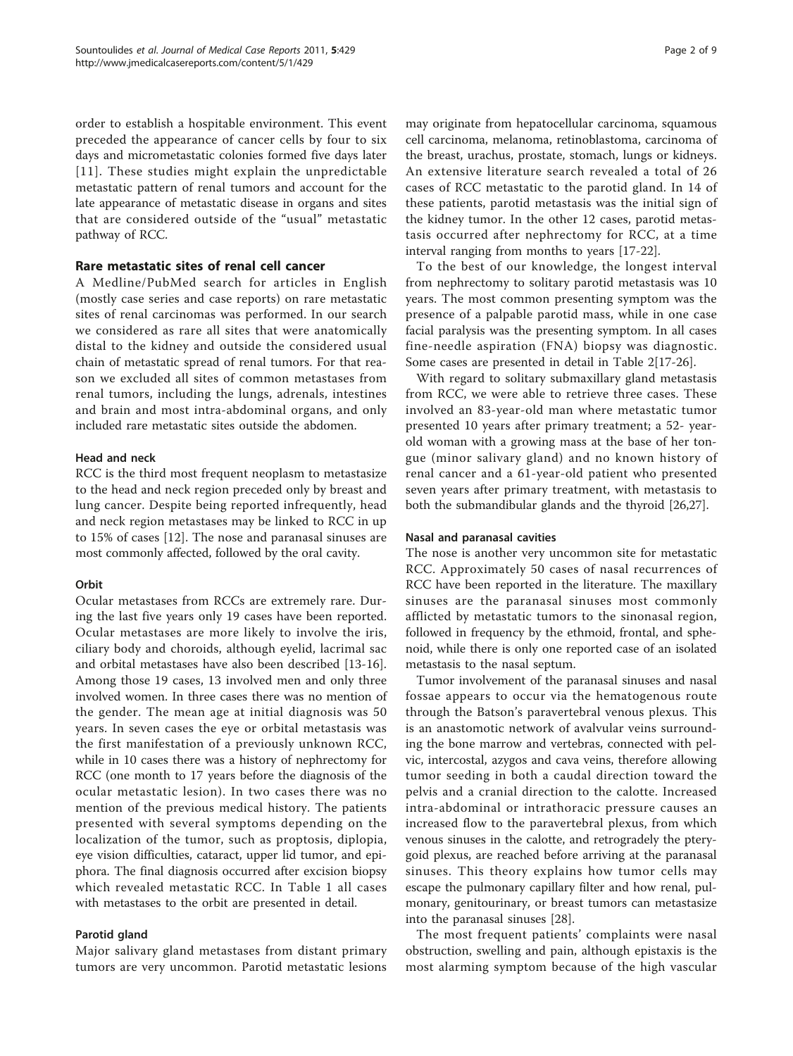order to establish a hospitable environment. This event preceded the appearance of cancer cells by four to six days and micrometastatic colonies formed five days later [[11\]](#page-6-0). These studies might explain the unpredictable metastatic pattern of renal tumors and account for the late appearance of metastatic disease in organs and sites that are considered outside of the "usual" metastatic pathway of RCC.

# Rare metastatic sites of renal cell cancer

A Medline/PubMed search for articles in English (mostly case series and case reports) on rare metastatic sites of renal carcinomas was performed. In our search we considered as rare all sites that were anatomically distal to the kidney and outside the considered usual chain of metastatic spread of renal tumors. For that reason we excluded all sites of common metastases from renal tumors, including the lungs, adrenals, intestines and brain and most intra-abdominal organs, and only included rare metastatic sites outside the abdomen.

# Head and neck

RCC is the third most frequent neoplasm to metastasize to the head and neck region preceded only by breast and lung cancer. Despite being reported infrequently, head and neck region metastases may be linked to RCC in up to 15% of cases [[12\]](#page-6-0). The nose and paranasal sinuses are most commonly affected, followed by the oral cavity.

# **Orbit**

Ocular metastases from RCCs are extremely rare. During the last five years only 19 cases have been reported. Ocular metastases are more likely to involve the iris, ciliary body and choroids, although eyelid, lacrimal sac and orbital metastases have also been described [[13-16](#page-6-0)]. Among those 19 cases, 13 involved men and only three involved women. In three cases there was no mention of the gender. The mean age at initial diagnosis was 50 years. In seven cases the eye or orbital metastasis was the first manifestation of a previously unknown RCC, while in 10 cases there was a history of nephrectomy for RCC (one month to 17 years before the diagnosis of the ocular metastatic lesion). In two cases there was no mention of the previous medical history. The patients presented with several symptoms depending on the localization of the tumor, such as proptosis, diplopia, eye vision difficulties, cataract, upper lid tumor, and epiphora. The final diagnosis occurred after excision biopsy which revealed metastatic RCC. In Table [1](#page-2-0) all cases with metastases to the orbit are presented in detail.

# Parotid gland

Major salivary gland metastases from distant primary tumors are very uncommon. Parotid metastatic lesions may originate from hepatocellular carcinoma, squamous cell carcinoma, melanoma, retinoblastoma, carcinoma of the breast, urachus, prostate, stomach, lungs or kidneys. An extensive literature search revealed a total of 26 cases of RCC metastatic to the parotid gland. In 14 of these patients, parotid metastasis was the initial sign of the kidney tumor. In the other 12 cases, parotid metastasis occurred after nephrectomy for RCC, at a time interval ranging from months to years [[17-22](#page-6-0)].

To the best of our knowledge, the longest interval from nephrectomy to solitary parotid metastasis was 10 years. The most common presenting symptom was the presence of a palpable parotid mass, while in one case facial paralysis was the presenting symptom. In all cases fine-needle aspiration (FNA) biopsy was diagnostic. Some cases are presented in detail in Table [2\[](#page-3-0)[17-26\]](#page-6-0).

With regard to solitary submaxillary gland metastasis from RCC, we were able to retrieve three cases. These involved an 83-year-old man where metastatic tumor presented 10 years after primary treatment; a 52- yearold woman with a growing mass at the base of her tongue (minor salivary gland) and no known history of renal cancer and a 61-year-old patient who presented seven years after primary treatment, with metastasis to both the submandibular glands and the thyroid [[26,27](#page-6-0)].

# Nasal and paranasal cavities

The nose is another very uncommon site for metastatic RCC. Approximately 50 cases of nasal recurrences of RCC have been reported in the literature. The maxillary sinuses are the paranasal sinuses most commonly afflicted by metastatic tumors to the sinonasal region, followed in frequency by the ethmoid, frontal, and sphenoid, while there is only one reported case of an isolated metastasis to the nasal septum.

Tumor involvement of the paranasal sinuses and nasal fossae appears to occur via the hematogenous route through the Batson's paravertebral venous plexus. This is an anastomotic network of avalvular veins surrounding the bone marrow and vertebras, connected with pelvic, intercostal, azygos and cava veins, therefore allowing tumor seeding in both a caudal direction toward the pelvis and a cranial direction to the calotte. Increased intra-abdominal or intrathoracic pressure causes an increased flow to the paravertebral plexus, from which venous sinuses in the calotte, and retrogradely the pterygoid plexus, are reached before arriving at the paranasal sinuses. This theory explains how tumor cells may escape the pulmonary capillary filter and how renal, pulmonary, genitourinary, or breast tumors can metastasize into the paranasal sinuses [[28\]](#page-7-0).

The most frequent patients' complaints were nasal obstruction, swelling and pain, although epistaxis is the most alarming symptom because of the high vascular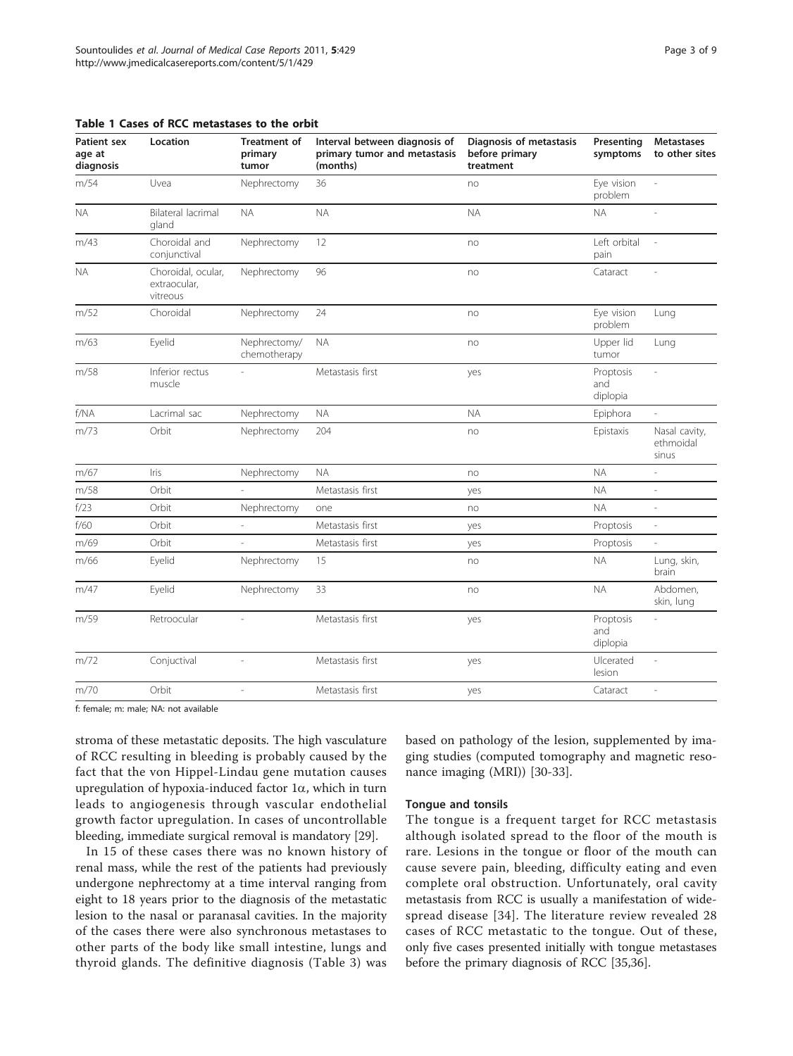<span id="page-2-0"></span>

|  |  |  |  |  | Table 1 Cases of RCC metastases to the orbit |  |  |  |
|--|--|--|--|--|----------------------------------------------|--|--|--|
|--|--|--|--|--|----------------------------------------------|--|--|--|

| Eye vision<br>m/54<br>Uvea<br>36<br>Nephrectomy<br>no<br>problem<br>Bilateral lacrimal<br><b>NA</b><br><b>NA</b><br><b>NA</b><br><b>NA</b><br><b>NA</b><br>gland<br>Choroidal and<br>Left orbital<br>m/43<br>12<br>Nephrectomy<br>$\overline{\phantom{a}}$<br>no<br>conjunctival<br>pain<br><b>NA</b><br>Choroidal, ocular,<br>Nephrectomy<br>96<br>Cataract<br>no<br>$\overline{\phantom{a}}$<br>extraocular,<br>vitreous<br>m/52<br>24<br>Eye vision<br>Choroidal<br>Nephrectomy<br>Lung<br>no<br>problem<br>Nephrectomy/<br>Eyelid<br><b>NA</b><br>Upper lid<br>m/63<br>Lung<br>no<br>chemotherapy<br>tumor<br>m/58<br>Inferior rectus<br>Metastasis first<br>Proptosis<br>yes<br>J.<br>muscle<br>and<br>diplopia<br>f/NA<br>Lacrimal sac<br><b>NA</b><br><b>NA</b><br>Nephrectomy<br>Epiphora<br>Orbit<br>m/73<br>Nephrectomy<br>204<br>Epistaxis<br>Nasal cavity,<br>no<br>ethmoidal<br>sinus<br>Iris<br><b>NA</b><br><b>NA</b><br>m/67<br>Nephrectomy<br>no<br>Orbit<br><b>NA</b><br>m/58<br>Metastasis first<br>yes<br>f/23<br>Orbit<br>Nephrectomy<br><b>NA</b><br>one<br>no<br>i,<br>f/60<br>Orbit<br>Metastasis first<br>Proptosis<br>$\overline{\phantom{a}}$<br>yes<br>m/69<br>Orbit<br>Metastasis first<br>Proptosis<br>$\overline{\phantom{a}}$<br>÷,<br>yes<br>m/66<br>Eyelid<br>Nephrectomy<br>15<br><b>NA</b><br>Lung, skin,<br>no<br>brain<br><b>NA</b><br>m/47<br>Eyelid<br>Nephrectomy<br>33<br>Abdomen,<br>no<br>skin, lung<br>m/59<br>Retroocular<br>Metastasis first<br>Proptosis<br>yes<br>and<br>diplopia<br>Conjuctival<br>Metastasis first<br>m/72<br>Ulcerated<br>yes<br>lesion<br>Orbit<br>Metastasis first<br>m/70<br>Cataract<br>yes | <b>Patient sex</b><br>age at<br>diagnosis | Location | <b>Treatment of</b><br>primary<br>tumor | Interval between diagnosis of<br>primary tumor and metastasis<br>(months) | Diagnosis of metastasis<br>before primary<br>treatment | Presenting<br>symptoms | <b>Metastases</b><br>to other sites |
|---------------------------------------------------------------------------------------------------------------------------------------------------------------------------------------------------------------------------------------------------------------------------------------------------------------------------------------------------------------------------------------------------------------------------------------------------------------------------------------------------------------------------------------------------------------------------------------------------------------------------------------------------------------------------------------------------------------------------------------------------------------------------------------------------------------------------------------------------------------------------------------------------------------------------------------------------------------------------------------------------------------------------------------------------------------------------------------------------------------------------------------------------------------------------------------------------------------------------------------------------------------------------------------------------------------------------------------------------------------------------------------------------------------------------------------------------------------------------------------------------------------------------------------------------------------------------------------------------------------------------------------------------------------------|-------------------------------------------|----------|-----------------------------------------|---------------------------------------------------------------------------|--------------------------------------------------------|------------------------|-------------------------------------|
|                                                                                                                                                                                                                                                                                                                                                                                                                                                                                                                                                                                                                                                                                                                                                                                                                                                                                                                                                                                                                                                                                                                                                                                                                                                                                                                                                                                                                                                                                                                                                                                                                                                                     |                                           |          |                                         |                                                                           |                                                        |                        |                                     |
|                                                                                                                                                                                                                                                                                                                                                                                                                                                                                                                                                                                                                                                                                                                                                                                                                                                                                                                                                                                                                                                                                                                                                                                                                                                                                                                                                                                                                                                                                                                                                                                                                                                                     |                                           |          |                                         |                                                                           |                                                        |                        |                                     |
|                                                                                                                                                                                                                                                                                                                                                                                                                                                                                                                                                                                                                                                                                                                                                                                                                                                                                                                                                                                                                                                                                                                                                                                                                                                                                                                                                                                                                                                                                                                                                                                                                                                                     |                                           |          |                                         |                                                                           |                                                        |                        |                                     |
|                                                                                                                                                                                                                                                                                                                                                                                                                                                                                                                                                                                                                                                                                                                                                                                                                                                                                                                                                                                                                                                                                                                                                                                                                                                                                                                                                                                                                                                                                                                                                                                                                                                                     |                                           |          |                                         |                                                                           |                                                        |                        |                                     |
|                                                                                                                                                                                                                                                                                                                                                                                                                                                                                                                                                                                                                                                                                                                                                                                                                                                                                                                                                                                                                                                                                                                                                                                                                                                                                                                                                                                                                                                                                                                                                                                                                                                                     |                                           |          |                                         |                                                                           |                                                        |                        |                                     |
|                                                                                                                                                                                                                                                                                                                                                                                                                                                                                                                                                                                                                                                                                                                                                                                                                                                                                                                                                                                                                                                                                                                                                                                                                                                                                                                                                                                                                                                                                                                                                                                                                                                                     |                                           |          |                                         |                                                                           |                                                        |                        |                                     |
|                                                                                                                                                                                                                                                                                                                                                                                                                                                                                                                                                                                                                                                                                                                                                                                                                                                                                                                                                                                                                                                                                                                                                                                                                                                                                                                                                                                                                                                                                                                                                                                                                                                                     |                                           |          |                                         |                                                                           |                                                        |                        |                                     |
|                                                                                                                                                                                                                                                                                                                                                                                                                                                                                                                                                                                                                                                                                                                                                                                                                                                                                                                                                                                                                                                                                                                                                                                                                                                                                                                                                                                                                                                                                                                                                                                                                                                                     |                                           |          |                                         |                                                                           |                                                        |                        |                                     |
|                                                                                                                                                                                                                                                                                                                                                                                                                                                                                                                                                                                                                                                                                                                                                                                                                                                                                                                                                                                                                                                                                                                                                                                                                                                                                                                                                                                                                                                                                                                                                                                                                                                                     |                                           |          |                                         |                                                                           |                                                        |                        |                                     |
|                                                                                                                                                                                                                                                                                                                                                                                                                                                                                                                                                                                                                                                                                                                                                                                                                                                                                                                                                                                                                                                                                                                                                                                                                                                                                                                                                                                                                                                                                                                                                                                                                                                                     |                                           |          |                                         |                                                                           |                                                        |                        |                                     |
|                                                                                                                                                                                                                                                                                                                                                                                                                                                                                                                                                                                                                                                                                                                                                                                                                                                                                                                                                                                                                                                                                                                                                                                                                                                                                                                                                                                                                                                                                                                                                                                                                                                                     |                                           |          |                                         |                                                                           |                                                        |                        |                                     |
|                                                                                                                                                                                                                                                                                                                                                                                                                                                                                                                                                                                                                                                                                                                                                                                                                                                                                                                                                                                                                                                                                                                                                                                                                                                                                                                                                                                                                                                                                                                                                                                                                                                                     |                                           |          |                                         |                                                                           |                                                        |                        |                                     |
|                                                                                                                                                                                                                                                                                                                                                                                                                                                                                                                                                                                                                                                                                                                                                                                                                                                                                                                                                                                                                                                                                                                                                                                                                                                                                                                                                                                                                                                                                                                                                                                                                                                                     |                                           |          |                                         |                                                                           |                                                        |                        |                                     |
|                                                                                                                                                                                                                                                                                                                                                                                                                                                                                                                                                                                                                                                                                                                                                                                                                                                                                                                                                                                                                                                                                                                                                                                                                                                                                                                                                                                                                                                                                                                                                                                                                                                                     |                                           |          |                                         |                                                                           |                                                        |                        |                                     |
|                                                                                                                                                                                                                                                                                                                                                                                                                                                                                                                                                                                                                                                                                                                                                                                                                                                                                                                                                                                                                                                                                                                                                                                                                                                                                                                                                                                                                                                                                                                                                                                                                                                                     |                                           |          |                                         |                                                                           |                                                        |                        |                                     |
|                                                                                                                                                                                                                                                                                                                                                                                                                                                                                                                                                                                                                                                                                                                                                                                                                                                                                                                                                                                                                                                                                                                                                                                                                                                                                                                                                                                                                                                                                                                                                                                                                                                                     |                                           |          |                                         |                                                                           |                                                        |                        |                                     |
|                                                                                                                                                                                                                                                                                                                                                                                                                                                                                                                                                                                                                                                                                                                                                                                                                                                                                                                                                                                                                                                                                                                                                                                                                                                                                                                                                                                                                                                                                                                                                                                                                                                                     |                                           |          |                                         |                                                                           |                                                        |                        |                                     |
|                                                                                                                                                                                                                                                                                                                                                                                                                                                                                                                                                                                                                                                                                                                                                                                                                                                                                                                                                                                                                                                                                                                                                                                                                                                                                                                                                                                                                                                                                                                                                                                                                                                                     |                                           |          |                                         |                                                                           |                                                        |                        |                                     |
|                                                                                                                                                                                                                                                                                                                                                                                                                                                                                                                                                                                                                                                                                                                                                                                                                                                                                                                                                                                                                                                                                                                                                                                                                                                                                                                                                                                                                                                                                                                                                                                                                                                                     |                                           |          |                                         |                                                                           |                                                        |                        |                                     |

f: female; m: male; NA: not available

stroma of these metastatic deposits. The high vasculature of RCC resulting in bleeding is probably caused by the fact that the von Hippel-Lindau gene mutation causes upregulation of hypoxia-induced factor  $1\alpha$ , which in turn leads to angiogenesis through vascular endothelial growth factor upregulation. In cases of uncontrollable bleeding, immediate surgical removal is mandatory [\[29\]](#page-7-0).

In 15 of these cases there was no known history of renal mass, while the rest of the patients had previously undergone nephrectomy at a time interval ranging from eight to 18 years prior to the diagnosis of the metastatic lesion to the nasal or paranasal cavities. In the majority of the cases there were also synchronous metastases to other parts of the body like small intestine, lungs and thyroid glands. The definitive diagnosis (Table [3](#page-3-0)) was

based on pathology of the lesion, supplemented by imaging studies (computed tomography and magnetic resonance imaging (MRI)) [[30](#page-7-0)-[33\]](#page-7-0).

#### Tongue and tonsils

The tongue is a frequent target for RCC metastasis although isolated spread to the floor of the mouth is rare. Lesions in the tongue or floor of the mouth can cause severe pain, bleeding, difficulty eating and even complete oral obstruction. Unfortunately, oral cavity metastasis from RCC is usually a manifestation of widespread disease [[34](#page-7-0)]. The literature review revealed 28 cases of RCC metastatic to the tongue. Out of these, only five cases presented initially with tongue metastases before the primary diagnosis of RCC [\[35,36\]](#page-7-0).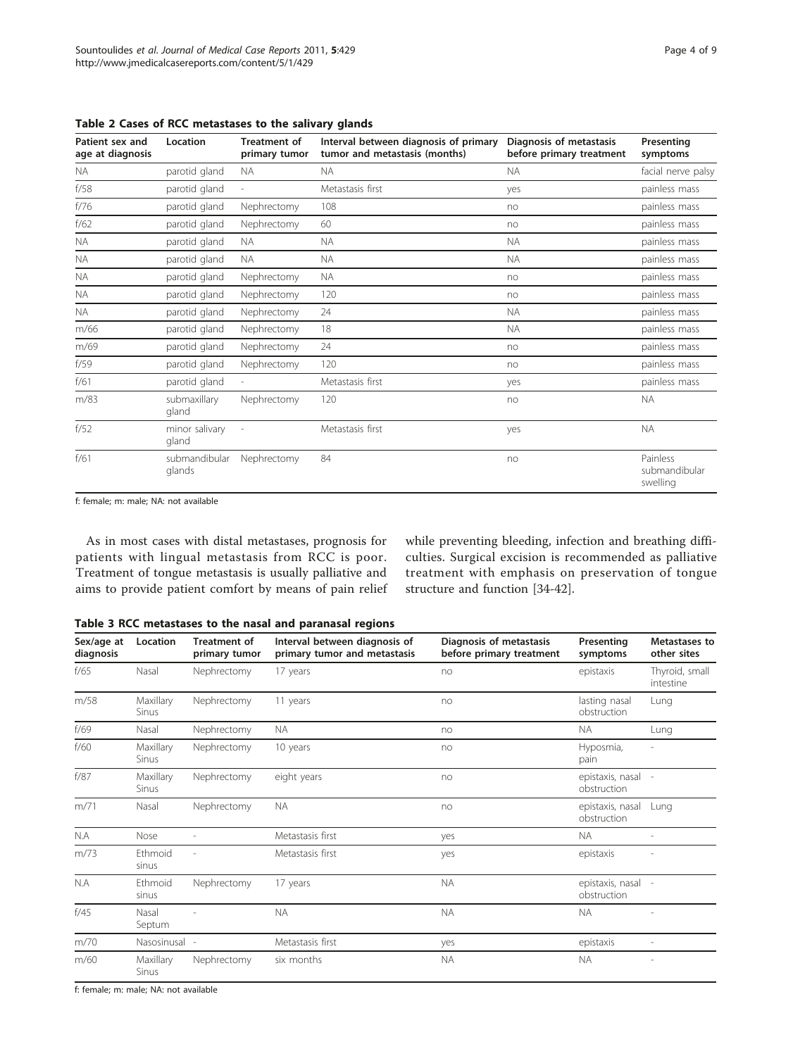| Patient sex and<br>age at diagnosis | Location                | <b>Treatment of</b><br>primary tumor | Interval between diagnosis of primary<br>tumor and metastasis (months) | Diagnosis of metastasis<br>before primary treatment | Presenting<br>symptoms                |
|-------------------------------------|-------------------------|--------------------------------------|------------------------------------------------------------------------|-----------------------------------------------------|---------------------------------------|
| <b>NA</b>                           | parotid gland           | <b>NA</b>                            | <b>NA</b>                                                              | <b>NA</b>                                           | facial nerve palsy                    |
| f/58                                | parotid gland           |                                      | Metastasis first                                                       | yes                                                 | painless mass                         |
| f/76                                | parotid gland           | Nephrectomy                          | 108                                                                    | no                                                  | painless mass                         |
| f/62                                | parotid gland           | Nephrectomy                          | 60                                                                     | no                                                  | painless mass                         |
| <b>NA</b>                           | parotid gland           | <b>NA</b>                            | <b>NA</b>                                                              | <b>NA</b>                                           | painless mass                         |
| <b>NA</b>                           | parotid gland           | <b>NA</b>                            | <b>NA</b>                                                              | <b>NA</b>                                           | painless mass                         |
| <b>NA</b>                           | parotid gland           | Nephrectomy                          | <b>NA</b>                                                              | no                                                  | painless mass                         |
| <b>NA</b>                           | parotid gland           | Nephrectomy                          | 120                                                                    | no                                                  | painless mass                         |
| <b>NA</b>                           | parotid gland           | Nephrectomy                          | 24                                                                     | <b>NA</b>                                           | painless mass                         |
| m/66                                | parotid gland           | Nephrectomy                          | 18                                                                     | <b>NA</b>                                           | painless mass                         |
| m/69                                | parotid gland           | Nephrectomy                          | 24                                                                     | no                                                  | painless mass                         |
| f/59                                | parotid gland           | Nephrectomy                          | 120                                                                    | no                                                  | painless mass                         |
| f/61                                | parotid gland           | $\overline{\phantom{a}}$             | Metastasis first                                                       | yes                                                 | painless mass                         |
| m/83                                | submaxillary<br>gland   | Nephrectomy                          | 120                                                                    | no                                                  | <b>NA</b>                             |
| f/52                                | minor salivary<br>gland |                                      | Metastasis first                                                       | yes                                                 | <b>NA</b>                             |
| f/61                                | submandibular<br>glands | Nephrectomy                          | 84                                                                     | no                                                  | Painless<br>submandibular<br>swelling |

<span id="page-3-0"></span>Table 2 Cases of RCC metastases to the salivary glands

f: female; m: male; NA: not available

As in most cases with distal metastases, prognosis for patients with lingual metastasis from RCC is poor. Treatment of tongue metastasis is usually palliative and aims to provide patient comfort by means of pain relief while preventing bleeding, infection and breathing difficulties. Surgical excision is recommended as palliative treatment with emphasis on preservation of tongue structure and function [\[34](#page-7-0)-[42](#page-7-0)].

|  |  |  | Table 3 RCC metastases to the nasal and paranasal regions |  |  |  |  |  |  |
|--|--|--|-----------------------------------------------------------|--|--|--|--|--|--|
|--|--|--|-----------------------------------------------------------|--|--|--|--|--|--|

| Sex/age at<br>diagnosis | Location           | <b>Treatment of</b><br>primary tumor | Interval between diagnosis of<br>primary tumor and metastasis | Diagnosis of metastasis<br>before primary treatment | Presenting<br>symptoms            | Metastases to<br>other sites |
|-------------------------|--------------------|--------------------------------------|---------------------------------------------------------------|-----------------------------------------------------|-----------------------------------|------------------------------|
| f/65                    | Nasal              | Nephrectomy                          | 17 years                                                      | no                                                  | epistaxis                         | Thyroid, small<br>intestine  |
| m/58                    | Maxillary<br>Sinus | Nephrectomy                          | 11 years                                                      | no                                                  | lasting nasal<br>obstruction      | Lung                         |
| f/69                    | Nasal              | Nephrectomy                          | <b>NA</b>                                                     | no                                                  | <b>NA</b>                         | Lung                         |
| f/60                    | Maxillary<br>Sinus | Nephrectomy                          | 10 years                                                      | no                                                  | Hyposmia,<br>pain                 |                              |
| f/87                    | Maxillary<br>Sinus | Nephrectomy                          | eight years                                                   | no                                                  | epistaxis, nasal -<br>obstruction |                              |
| m/71                    | Nasal              | Nephrectomy                          | <b>NA</b>                                                     | no                                                  | epistaxis, nasal<br>obstruction   | Lung                         |
| N.A                     | Nose               |                                      | Metastasis first                                              | yes                                                 | <b>NA</b>                         |                              |
| m/73                    | Ethmoid<br>sinus   |                                      | Metastasis first                                              | yes                                                 | epistaxis                         |                              |
| N.A                     | Ethmoid<br>sinus   | Nephrectomy                          | 17 years                                                      | <b>NA</b>                                           | epistaxis, nasal<br>obstruction   |                              |
| f/45                    | Nasal<br>Septum    |                                      | <b>NA</b>                                                     | <b>NA</b>                                           | <b>NA</b>                         |                              |
| m/70                    | Nasosinusal -      |                                      | Metastasis first                                              | yes                                                 | epistaxis                         |                              |
| m/60                    | Maxillary<br>Sinus | Nephrectomy                          | six months                                                    | <b>NA</b>                                           | <b>NA</b>                         |                              |

f: female; m: male; NA: not available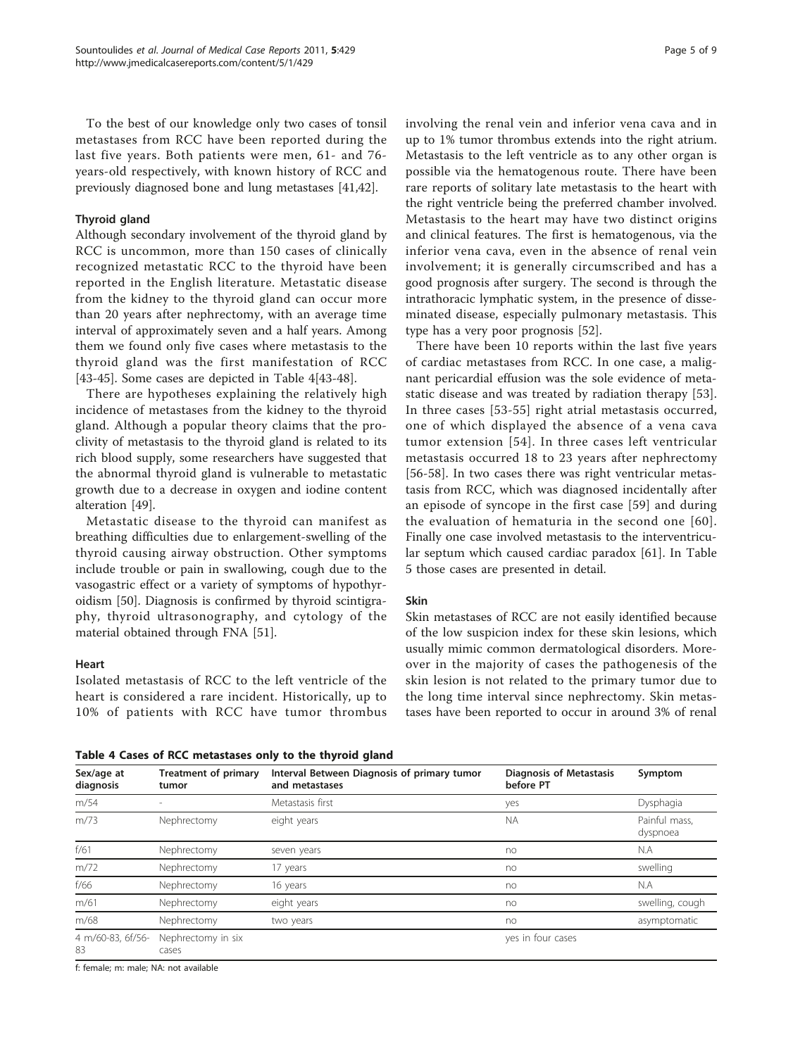To the best of our knowledge only two cases of tonsil metastases from RCC have been reported during the last five years. Both patients were men, 61- and 76 years-old respectively, with known history of RCC and previously diagnosed bone and lung metastases [\[41,42\]](#page-7-0).

# Thyroid gland

Although secondary involvement of the thyroid gland by RCC is uncommon, more than 150 cases of clinically recognized metastatic RCC to the thyroid have been reported in the English literature. Metastatic disease from the kidney to the thyroid gland can occur more than 20 years after nephrectomy, with an average time interval of approximately seven and a half years. Among them we found only five cases where metastasis to the thyroid gland was the first manifestation of RCC [[43-45\]](#page-7-0). Some cases are depicted in Table 4[[43-48\]](#page-7-0).

There are hypotheses explaining the relatively high incidence of metastases from the kidney to the thyroid gland. Although a popular theory claims that the proclivity of metastasis to the thyroid gland is related to its rich blood supply, some researchers have suggested that the abnormal thyroid gland is vulnerable to metastatic growth due to a decrease in oxygen and iodine content alteration [[49\]](#page-7-0).

Metastatic disease to the thyroid can manifest as breathing difficulties due to enlargement-swelling of the thyroid causing airway obstruction. Other symptoms include trouble or pain in swallowing, cough due to the vasogastric effect or a variety of symptoms of hypothyroidism [[50](#page-7-0)]. Diagnosis is confirmed by thyroid scintigraphy, thyroid ultrasonography, and cytology of the material obtained through FNA [\[51\]](#page-7-0).

#### Heart

Isolated metastasis of RCC to the left ventricle of the heart is considered a rare incident. Historically, up to 10% of patients with RCC have tumor thrombus

Table 4 Cases of RCC metastases only to the thyroid gland

involving the renal vein and inferior vena cava and in up to 1% tumor thrombus extends into the right atrium. Metastasis to the left ventricle as to any other organ is possible via the hematogenous route. There have been rare reports of solitary late metastasis to the heart with the right ventricle being the preferred chamber involved. Metastasis to the heart may have two distinct origins and clinical features. The first is hematogenous, via the inferior vena cava, even in the absence of renal vein involvement; it is generally circumscribed and has a good prognosis after surgery. The second is through the intrathoracic lymphatic system, in the presence of disseminated disease, especially pulmonary metastasis. This type has a very poor prognosis [\[52](#page-7-0)].

There have been 10 reports within the last five years of cardiac metastases from RCC. In one case, a malignant pericardial effusion was the sole evidence of metastatic disease and was treated by radiation therapy [\[53](#page-7-0)]. In three cases [\[53-55](#page-7-0)] right atrial metastasis occurred, one of which displayed the absence of a vena cava tumor extension [[54](#page-7-0)]. In three cases left ventricular metastasis occurred 18 to 23 years after nephrectomy [[56-58\]](#page-7-0). In two cases there was right ventricular metastasis from RCC, which was diagnosed incidentally after an episode of syncope in the first case [[59](#page-7-0)] and during the evaluation of hematuria in the second one [[60\]](#page-7-0). Finally one case involved metastasis to the interventricular septum which caused cardiac paradox [\[61](#page-7-0)]. In Table [5](#page-5-0) those cases are presented in detail.

# Skin

Skin metastases of RCC are not easily identified because of the low suspicion index for these skin lesions, which usually mimic common dermatological disorders. Moreover in the majority of cases the pathogenesis of the skin lesion is not related to the primary tumor due to the long time interval since nephrectomy. Skin metastases have been reported to occur in around 3% of renal

| Sex/age at<br>diagnosis | Treatment of primary<br>tumor | Interval Between Diagnosis of primary tumor<br>and metastases | <b>Diagnosis of Metastasis</b><br>before PT | Symptom                   |
|-------------------------|-------------------------------|---------------------------------------------------------------|---------------------------------------------|---------------------------|
| m/54                    |                               | Metastasis first                                              | yes                                         | Dysphagia                 |
| m/73                    | Nephrectomy                   | eight years                                                   | <b>NA</b>                                   | Painful mass,<br>dyspnoea |
| f/61                    | Nephrectomy                   | seven years                                                   | no                                          | N.A                       |
| m/72                    | Nephrectomy                   | 17 years                                                      | no                                          | swelling                  |
| f/66                    | Nephrectomy                   | 16 years                                                      | no                                          | N.A                       |
| m/61                    | Nephrectomy                   | eight years                                                   | no                                          | swelling, cough           |
| m/68                    | Nephrectomy                   | two years                                                     | no                                          | asymptomatic              |
| 4 m/60-83, 6f/56-<br>83 | Nephrectomy in six<br>cases   |                                                               | yes in four cases                           |                           |

f: female; m: male; NA: not available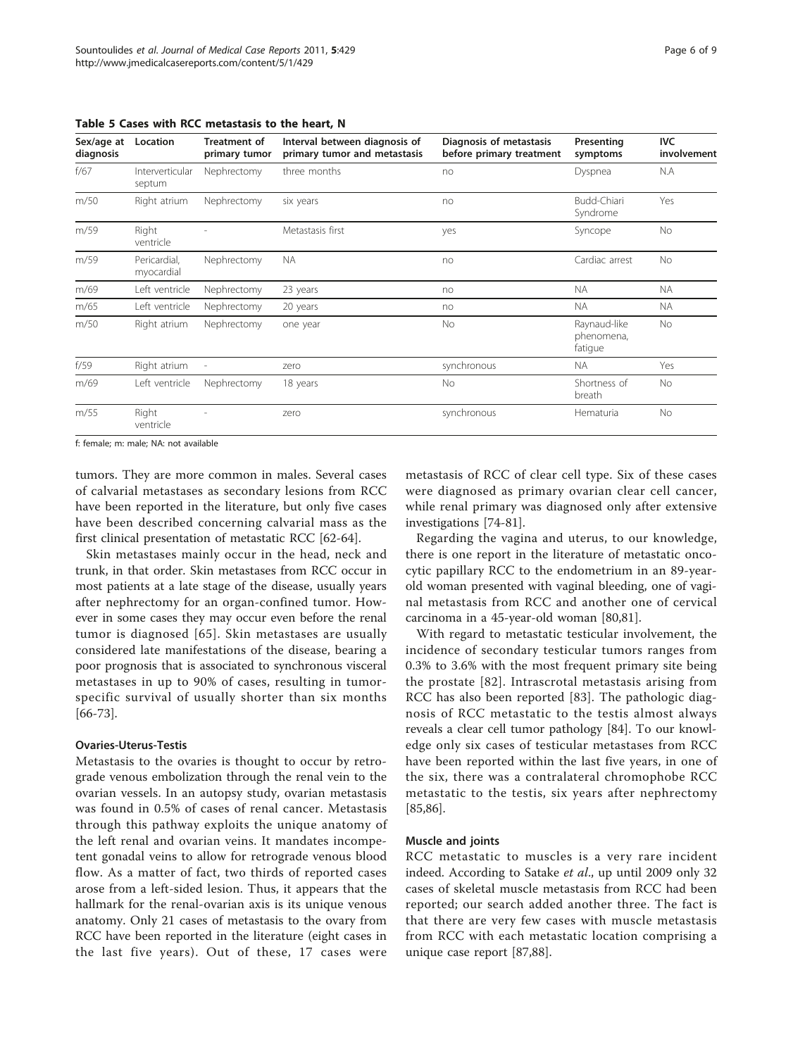| Sex/age at<br>diagnosis | Location                   | <b>Treatment of</b><br>primary tumor | Interval between diagnosis of<br>primary tumor and metastasis | Diagnosis of metastasis<br>before primary treatment | Presenting<br>symptoms                | <b>IVC</b><br>involvement |
|-------------------------|----------------------------|--------------------------------------|---------------------------------------------------------------|-----------------------------------------------------|---------------------------------------|---------------------------|
| f/67                    | Interverticular<br>septum  | Nephrectomy                          | three months                                                  | no                                                  | Dyspnea                               | N.A                       |
| m/50                    | Right atrium               | Nephrectomy                          | six years                                                     | no                                                  | Budd-Chiari<br>Syndrome               | Yes                       |
| m/59                    | Right<br>ventricle         |                                      | Metastasis first                                              | yes                                                 | Syncope                               | No                        |
| m/59                    | Pericardial,<br>myocardial | Nephrectomy                          | <b>NA</b>                                                     | no                                                  | Cardiac arrest                        | No                        |
| m/69                    | Left ventricle             | Nephrectomy                          | 23 years                                                      | no                                                  | <b>NA</b>                             | <b>NA</b>                 |
| m/65                    | Left ventricle             | Nephrectomy                          | 20 years                                                      | no                                                  | <b>NA</b>                             | NA.                       |
| m/50                    | Right atrium               | Nephrectomy                          | one year                                                      | No                                                  | Raynaud-like<br>phenomena,<br>fatique | No                        |
| f/59                    | Right atrium               |                                      | zero                                                          | synchronous                                         | NA.                                   | Yes                       |
| m/69                    | Left ventricle             | Nephrectomy                          | 18 years                                                      | <b>No</b>                                           | Shortness of<br>breath                | No.                       |
| m/55                    | Right<br>ventricle         |                                      | zero                                                          | synchronous                                         | Hematuria                             | <b>No</b>                 |

<span id="page-5-0"></span>Table 5 Cases with RCC metastasis to the heart, N

f: female; m: male; NA: not available

tumors. They are more common in males. Several cases of calvarial metastases as secondary lesions from RCC have been reported in the literature, but only five cases have been described concerning calvarial mass as the first clinical presentation of metastatic RCC [[62-64](#page-7-0)].

Skin metastases mainly occur in the head, neck and trunk, in that order. Skin metastases from RCC occur in most patients at a late stage of the disease, usually years after nephrectomy for an organ-confined tumor. However in some cases they may occur even before the renal tumor is diagnosed [[65\]](#page-7-0). Skin metastases are usually considered late manifestations of the disease, bearing a poor prognosis that is associated to synchronous visceral metastases in up to 90% of cases, resulting in tumorspecific survival of usually shorter than six months [[66-73\]](#page-7-0).

#### Ovaries-Uterus-Testis

Metastasis to the ovaries is thought to occur by retrograde venous embolization through the renal vein to the ovarian vessels. In an autopsy study, ovarian metastasis was found in 0.5% of cases of renal cancer. Metastasis through this pathway exploits the unique anatomy of the left renal and ovarian veins. It mandates incompetent gonadal veins to allow for retrograde venous blood flow. As a matter of fact, two thirds of reported cases arose from a left-sided lesion. Thus, it appears that the hallmark for the renal-ovarian axis is its unique venous anatomy. Only 21 cases of metastasis to the ovary from RCC have been reported in the literature (eight cases in the last five years). Out of these, 17 cases were metastasis of RCC of clear cell type. Six of these cases were diagnosed as primary ovarian clear cell cancer, while renal primary was diagnosed only after extensive investigations [\[74](#page-7-0)-[81](#page-8-0)].

Regarding the vagina and uterus, to our knowledge, there is one report in the literature of metastatic oncocytic papillary RCC to the endometrium in an 89-yearold woman presented with vaginal bleeding, one of vaginal metastasis from RCC and another one of cervical carcinoma in a 45-year-old woman [\[80,81\]](#page-8-0).

With regard to metastatic testicular involvement, the incidence of secondary testicular tumors ranges from 0.3% to 3.6% with the most frequent primary site being the prostate [[82](#page-8-0)]. Intrascrotal metastasis arising from RCC has also been reported [[83](#page-8-0)]. The pathologic diagnosis of RCC metastatic to the testis almost always reveals a clear cell tumor pathology [\[84\]](#page-8-0). To our knowledge only six cases of testicular metastases from RCC have been reported within the last five years, in one of the six, there was a contralateral chromophobe RCC metastatic to the testis, six years after nephrectomy [[85,86\]](#page-8-0).

### Muscle and joints

RCC metastatic to muscles is a very rare incident indeed. According to Satake et al., up until 2009 only 32 cases of skeletal muscle metastasis from RCC had been reported; our search added another three. The fact is that there are very few cases with muscle metastasis from RCC with each metastatic location comprising a unique case report [[87](#page-8-0),[88](#page-8-0)].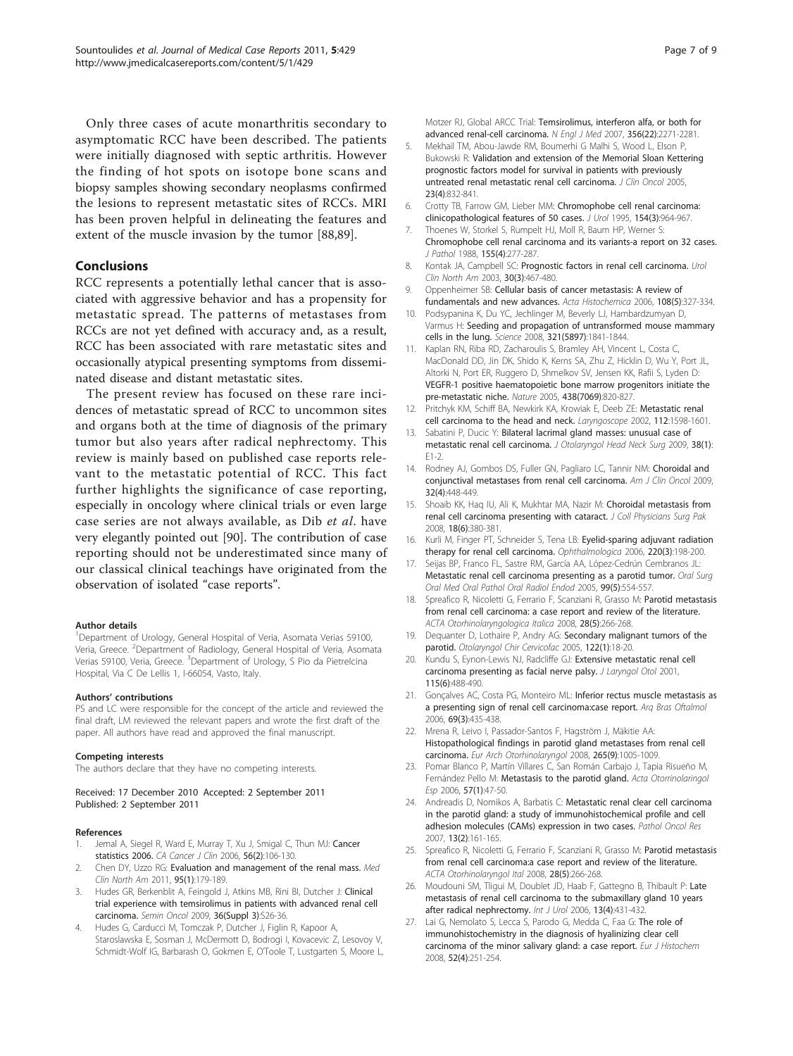<span id="page-6-0"></span>Only three cases of acute monarthritis secondary to asymptomatic RCC have been described. The patients were initially diagnosed with septic arthritis. However the finding of hot spots on isotope bone scans and biopsy samples showing secondary neoplasms confirmed the lesions to represent metastatic sites of RCCs. MRI has been proven helpful in delineating the features and extent of the muscle invasion by the tumor [\[88,89](#page-8-0)].

# Conclusions

RCC represents a potentially lethal cancer that is associated with aggressive behavior and has a propensity for metastatic spread. The patterns of metastases from RCCs are not yet defined with accuracy and, as a result, RCC has been associated with rare metastatic sites and occasionally atypical presenting symptoms from disseminated disease and distant metastatic sites.

The present review has focused on these rare incidences of metastatic spread of RCC to uncommon sites and organs both at the time of diagnosis of the primary tumor but also years after radical nephrectomy. This review is mainly based on published case reports relevant to the metastatic potential of RCC. This fact further highlights the significance of case reporting, especially in oncology where clinical trials or even large case series are not always available, as Dib et al. have very elegantly pointed out [\[90](#page-8-0)]. The contribution of case reporting should not be underestimated since many of our classical clinical teachings have originated from the observation of isolated "case reports".

#### Author details

<sup>1</sup>Department of Urology, General Hospital of Veria, Asomata Verias 59100, Veria, Greece. <sup>2</sup>Department of Radiology, General Hospital of Veria, Asomata Verias 59100, Veria, Greece. <sup>3</sup>Department of Urology, S Pio da Pietrelcina Hospital, Via C De Lellis 1, I-66054, Vasto, Italy.

#### Authors' contributions

PS and LC were responsible for the concept of the article and reviewed the final draft, LM reviewed the relevant papers and wrote the first draft of the paper. All authors have read and approved the final manuscript.

#### Competing interests

The authors declare that they have no competing interests.

Received: 17 December 2010 Accepted: 2 September 2011 Published: 2 September 2011

#### References

- 1. Jemal A, Siegel R, Ward E, Murray T, Xu J, Smigal C, Thun MJ: [Cancer](http://www.ncbi.nlm.nih.gov/pubmed/16514137?dopt=Abstract) [statistics 2006.](http://www.ncbi.nlm.nih.gov/pubmed/16514137?dopt=Abstract) CA Cancer J Clin 2006, 56(2):106-130.
- 2. Chen DY, Uzzo RG: [Evaluation and management of the renal mass.](http://www.ncbi.nlm.nih.gov/pubmed/21095421?dopt=Abstract) Med Clin North Am 2011, 95(1):179-189.
- 3. Hudes GR, Berkenblit A, Feingold J, Atkins MB, Rini BI, Dutcher J: [Clinical](http://www.ncbi.nlm.nih.gov/pubmed/19963097?dopt=Abstract) [trial experience with temsirolimus in patients with advanced renal cell](http://www.ncbi.nlm.nih.gov/pubmed/19963097?dopt=Abstract) [carcinoma.](http://www.ncbi.nlm.nih.gov/pubmed/19963097?dopt=Abstract) Semin Oncol 2009, 36(Suppl 3):S26-36.
- 4. Hudes G, Carducci M, Tomczak P, Dutcher J, Figlin R, Kapoor A, Staroslawska E, Sosman J, McDermott D, Bodrogi I, Kovacevic Z, Lesovoy V, Schmidt-Wolf IG, Barbarash O, Gokmen E, O'Toole T, Lustgarten S, Moore L,

Motzer RJ, Global ARCC Trial: [Temsirolimus, interferon alfa, or both for](http://www.ncbi.nlm.nih.gov/pubmed/17538086?dopt=Abstract) [advanced renal-cell carcinoma.](http://www.ncbi.nlm.nih.gov/pubmed/17538086?dopt=Abstract) N Engl J Med 2007, 356(22):2271-2281.

- 5. Mekhail TM, Abou-Jawde RM, Boumerhi G Malhi S, Wood L, Elson P, Bukowski R: [Validation and extension of the Memorial Sloan Kettering](http://www.ncbi.nlm.nih.gov/pubmed/15681528?dopt=Abstract) [prognostic factors model for survival in patients with previously](http://www.ncbi.nlm.nih.gov/pubmed/15681528?dopt=Abstract) [untreated renal metastatic renal cell carcinoma.](http://www.ncbi.nlm.nih.gov/pubmed/15681528?dopt=Abstract) J Clin Oncol 2005, 23(4):832-841.
- 6. Crotty TB, Farrow GM, Lieber MM: [Chromophobe cell renal carcinoma:](http://www.ncbi.nlm.nih.gov/pubmed/7637102?dopt=Abstract) [clinicopathological features of 50 cases.](http://www.ncbi.nlm.nih.gov/pubmed/7637102?dopt=Abstract) J Urol 1995, 154(3):964-967.
- 7. Thoenes W, Storkel S, Rumpelt HJ, Moll R, Baum HP, Werner S: [Chromophobe cell renal carcinoma and its variants-a report on 32 cases.](http://www.ncbi.nlm.nih.gov/pubmed/2459332?dopt=Abstract) J Pathol 1988, 155(4):277-287.
- 8. Kontak JA, Campbell SC: [Prognostic factors in renal cell carcinoma.](http://www.ncbi.nlm.nih.gov/pubmed/12953749?dopt=Abstract) Urol Clin North Am 2003, 30(3):467-480.
- 9. Oppenheimer SB: [Cellular basis of cancer metastasis: A review of](http://www.ncbi.nlm.nih.gov/pubmed/16730054?dopt=Abstract) [fundamentals and new advances.](http://www.ncbi.nlm.nih.gov/pubmed/16730054?dopt=Abstract) Acta Histochemica 2006, 108(5):327-334.
- 10. Podsypanina K, Du YC, Jechlinger M, Beverly LJ, Hambardzumyan D, Varmus H: [Seeding and propagation of untransformed mouse mammary](http://www.ncbi.nlm.nih.gov/pubmed/18755941?dopt=Abstract) [cells in the lung.](http://www.ncbi.nlm.nih.gov/pubmed/18755941?dopt=Abstract) Science 2008, 321(5897):1841-1844.
- 11. Kaplan RN, Riba RD, Zacharoulis S, Bramley AH, Vincent L, Costa C, MacDonald DD, Jin DK, Shido K, Kerns SA, Zhu Z, Hicklin D, Wu Y, Port JL, Altorki N, Port ER, Ruggero D, Shmelkov SV, Jensen KK, Rafii S, Lyden D: [VEGFR-1 positive haematopoietic bone marrow progenitors initiate the](http://www.ncbi.nlm.nih.gov/pubmed/16341007?dopt=Abstract) [pre-metastatic niche.](http://www.ncbi.nlm.nih.gov/pubmed/16341007?dopt=Abstract) Nature 2005, 438(7069):820-827.
- 12. Pritchyk KM, Schiff BA, Newkirk KA, Krowiak E, Deeb ZE: [Metastatic renal](http://www.ncbi.nlm.nih.gov/pubmed/12352670?dopt=Abstract) [cell carcinoma to the head and neck.](http://www.ncbi.nlm.nih.gov/pubmed/12352670?dopt=Abstract) Laryngoscope 2002, 112:1598-1601.
- 13. Sabatini P, Ducic Y: [Bilateral lacrimal gland masses: unusual case of](http://www.ncbi.nlm.nih.gov/pubmed/19344596?dopt=Abstract) [metastatic renal cell carcinoma.](http://www.ncbi.nlm.nih.gov/pubmed/19344596?dopt=Abstract) J Otolaryngol Head Neck Surg 2009, 38(1): E1-2.
- 14. Rodney AJ, Gombos DS, Fuller GN, Pagliaro LC, Tannir NM: [Choroidal and](http://www.ncbi.nlm.nih.gov/pubmed/19657240?dopt=Abstract) [conjunctival metastases from renal cell carcinoma.](http://www.ncbi.nlm.nih.gov/pubmed/19657240?dopt=Abstract) Am J Clin Oncol 2009, 32(4):448-449.
- 15. Shoaib KK, Haq IU, Ali K, Mukhtar MA, Nazir M: [Choroidal metastasis from](http://www.ncbi.nlm.nih.gov/pubmed/18760053?dopt=Abstract) [renal cell carcinoma presenting with cataract.](http://www.ncbi.nlm.nih.gov/pubmed/18760053?dopt=Abstract) J Coll Physicians Surg Pak 2008, 18(6):380-381.
- 16. Kurli M, Finger PT, Schneider S, Tena LB: [Eyelid-sparing adjuvant radiation](http://www.ncbi.nlm.nih.gov/pubmed/16679797?dopt=Abstract) [therapy for renal cell carcinoma.](http://www.ncbi.nlm.nih.gov/pubmed/16679797?dopt=Abstract) Ophthalmologica 2006, 220(3):198-200.
- 17. Seijas BP, Franco FL, Sastre RM, García AA, López-Cedrún Cembranos JL: [Metastatic renal cell carcinoma presenting as a parotid tumor.](http://www.ncbi.nlm.nih.gov/pubmed/15829877?dopt=Abstract) Oral Surg Oral Med Oral Pathol Oral Radiol Endod 2005, 99(5):554-557.
- 18. Spreafico R, Nicoletti G, Ferrario F, Scanziani R, Grasso M: [Parotid metastasis](http://www.ncbi.nlm.nih.gov/pubmed/19186459?dopt=Abstract) [from renal cell carcinoma: a case report and review of the literature.](http://www.ncbi.nlm.nih.gov/pubmed/19186459?dopt=Abstract) ACTA Otorhinolaryngologica Italica 2008, 28(5):266-268.
- 19. Dequanter D, Lothaire P, Andry AG: Secondary malignant tumors of the parotid. Otolaryngol Chir Cervicofac 2005, 122(1):18-20.
- 20. Kundu S, Eynon-Lewis NJ, Radcliffe GJ: [Extensive metastatic renal cell](http://www.ncbi.nlm.nih.gov/pubmed/11429075?dopt=Abstract) [carcinoma presenting as facial nerve palsy.](http://www.ncbi.nlm.nih.gov/pubmed/11429075?dopt=Abstract) J Laryngol Otol 2001, 115(6):488-490.
- 21. Gonçalves AC, Costa PG, Monteiro ML: [Inferior rectus muscle metastasis as](http://www.ncbi.nlm.nih.gov/pubmed/16936974?dopt=Abstract) [a presenting sign of renal cell carcinoma:case report.](http://www.ncbi.nlm.nih.gov/pubmed/16936974?dopt=Abstract) Arq Bras Oftalmol 2006, 69(3):435-438.
- 22. Mrena R, Leivo I, Passador-Santos F, Hagström J, Mäkitie AA: [Histopathological findings in parotid gland metastases from renal cell](http://www.ncbi.nlm.nih.gov/pubmed/18438681?dopt=Abstract) [carcinoma.](http://www.ncbi.nlm.nih.gov/pubmed/18438681?dopt=Abstract) Eur Arch Otorhinolaryngol 2008, 265(9):1005-1009.
- 23. Pomar Blanco P, Martín Villares C, San Román Carbajo J, Tapia Risueño M, Fernández Pello M: [Metastasis to the parotid gland.](http://www.ncbi.nlm.nih.gov/pubmed/16503033?dopt=Abstract) Acta Otorrinolaringol Esp 2006, 57(1):47-50.
- Andreadis D, Nomikos A, Barbatis C: [Metastatic renal clear cell carcinoma](http://www.ncbi.nlm.nih.gov/pubmed/17607380?dopt=Abstract) [in the parotid gland: a study of immunohistochemical profile and cell](http://www.ncbi.nlm.nih.gov/pubmed/17607380?dopt=Abstract) [adhesion molecules \(CAMs\) expression in two cases.](http://www.ncbi.nlm.nih.gov/pubmed/17607380?dopt=Abstract) Pathol Oncol Res 2007, 13(2):161-165.
- 25. Spreafico R, Nicoletti G, Ferrario F, Scanziani R, Grasso M: [Parotid metastasis](http://www.ncbi.nlm.nih.gov/pubmed/19186459?dopt=Abstract) [from renal cell carcinoma:a case report and review of the literature.](http://www.ncbi.nlm.nih.gov/pubmed/19186459?dopt=Abstract) ACTA Otorhinolaryngol Ital 2008, 28(5):266-268.
- 26. Moudouni SM, Tliqui M, Doublet JD, Haab F, Gattegno B, Thibault P: [Late](http://www.ncbi.nlm.nih.gov/pubmed/16734864?dopt=Abstract) [metastasis of renal cell carcinoma to the submaxillary gland 10 years](http://www.ncbi.nlm.nih.gov/pubmed/16734864?dopt=Abstract) [after radical nephrectomy.](http://www.ncbi.nlm.nih.gov/pubmed/16734864?dopt=Abstract) Int J Urol 2006, 13(4):431-432.
- Lai G, Nemolato S, Lecca S, Parodo G, Medda C, Faa G: [The role of](http://www.ncbi.nlm.nih.gov/pubmed/19109100?dopt=Abstract) [immunohistochemistry in the diagnosis of hyalinizing clear cell](http://www.ncbi.nlm.nih.gov/pubmed/19109100?dopt=Abstract) [carcinoma of the minor salivary gland: a case report.](http://www.ncbi.nlm.nih.gov/pubmed/19109100?dopt=Abstract) Eur J Histochem 2008, 52(4):251-254.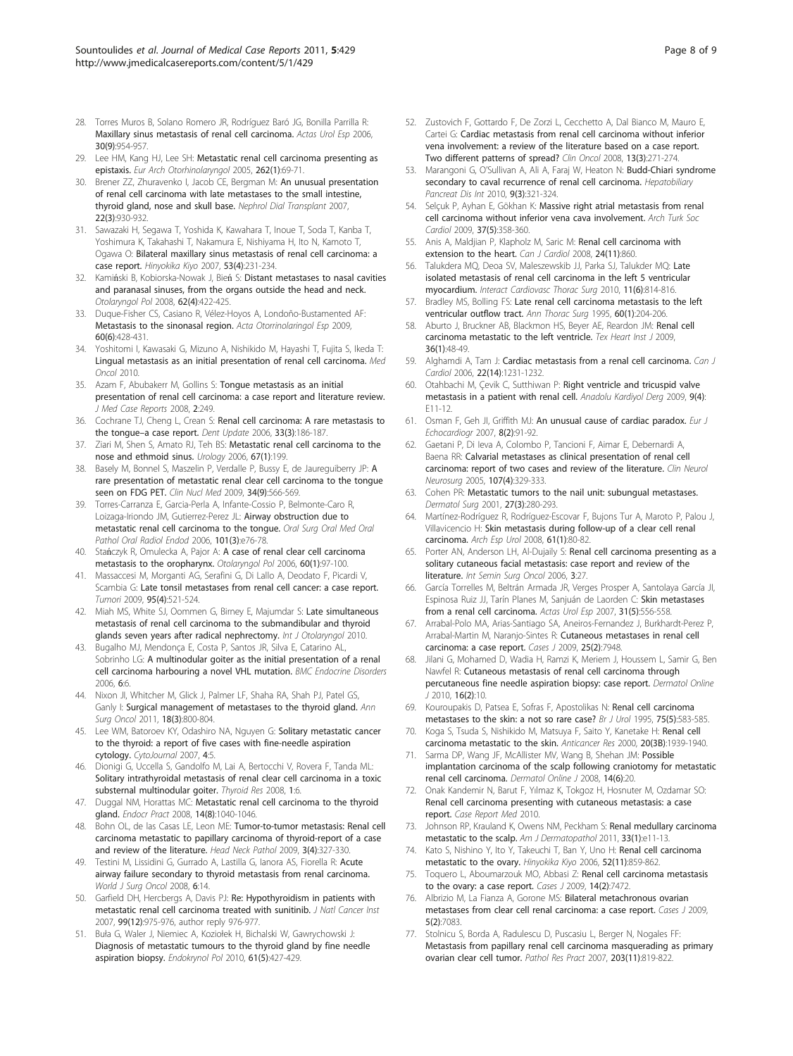- <span id="page-7-0"></span>28. Torres Muros B, Solano Romero JR, Rodríguez Baró JG, Bonilla Parrilla R: [Maxillary sinus metastasis of renal cell carcinoma.](http://www.ncbi.nlm.nih.gov/pubmed/17175938?dopt=Abstract) Actas Urol Esp 2006, 30(9):954-957.
- 29. Lee HM, Kang HJ, Lee SH: [Metastatic renal cell carcinoma presenting as](http://www.ncbi.nlm.nih.gov/pubmed/14986018?dopt=Abstract) [epistaxis.](http://www.ncbi.nlm.nih.gov/pubmed/14986018?dopt=Abstract) Eur Arch Otorhinolaryngol 2005, 262(1):69-71.
- 30. Brener ZZ, Zhuravenko I, Jacob CE, Bergman M: [An unusual presentation](http://www.ncbi.nlm.nih.gov/pubmed/17210603?dopt=Abstract) [of renal cell carcinoma with late metastases to the small intestine,](http://www.ncbi.nlm.nih.gov/pubmed/17210603?dopt=Abstract) [thyroid gland, nose and skull base.](http://www.ncbi.nlm.nih.gov/pubmed/17210603?dopt=Abstract) Nephrol Dial Transplant 2007, 22(3):930-932.
- 31. Sawazaki H, Segawa T, Yoshida K, Kawahara T, Inoue T, Soda T, Kanba T, Yoshimura K, Takahashi T, Nakamura E, Nishiyama H, Ito N, Kamoto T, Ogawa O: [Bilateral maxillary sinus metastasis of renal cell carcinoma: a](http://www.ncbi.nlm.nih.gov/pubmed/17515072?dopt=Abstract) [case report.](http://www.ncbi.nlm.nih.gov/pubmed/17515072?dopt=Abstract) Hinyokika Kiyo 2007, 53(4):231-234.
- 32. Kamiński B, Kobiorska-Nowak J, Bień S: [Distant metastases to nasal cavities](http://www.ncbi.nlm.nih.gov/pubmed/18837216?dopt=Abstract) [and paranasal sinuses, from the organs outside the head and neck.](http://www.ncbi.nlm.nih.gov/pubmed/18837216?dopt=Abstract) Otolaryngol Pol 2008, 62(4):422-425.
- 33. Duque-Fisher CS, Casiano R, Vélez-Hoyos A, Londoño-Bustamented AF: [Metastasis to the sinonasal region.](http://www.ncbi.nlm.nih.gov/pubmed/19909719?dopt=Abstract) Acta Otorrinolaringol Esp 2009, 60(6):428-431.
- 34. Yoshitomi I, Kawasaki G, Mizuno A, Nishikido M, Hayashi T, Fujita S, Ikeda T: Lingual metastasis as an initial presentation of renal cell carcinoma. Med Oncol 2010.
- 35. Azam F, Abubakerr M, Gollins S: [Tongue metastasis as an initial](http://www.ncbi.nlm.nih.gov/pubmed/18657269?dopt=Abstract) [presentation of renal cell carcinoma: a case report and literature review.](http://www.ncbi.nlm.nih.gov/pubmed/18657269?dopt=Abstract) J Med Case Reports 2008, 2:249.
- 36. Cochrane TJ, Cheng L, Crean S: [Renal cell carcinoma: A rare metastasis to](http://www.ncbi.nlm.nih.gov/pubmed/16700276?dopt=Abstract) the tongue–[a case report.](http://www.ncbi.nlm.nih.gov/pubmed/16700276?dopt=Abstract) Dent Update 2006, 33(3):186-187.
- 37. Ziari M, Shen S, Amato RJ, Teh BS: [Metastatic renal cell carcinoma to the](http://www.ncbi.nlm.nih.gov/pubmed/16413371?dopt=Abstract) [nose and ethmoid sinus.](http://www.ncbi.nlm.nih.gov/pubmed/16413371?dopt=Abstract) Urology 2006, 67(1):199.
- 38. Basely M, Bonnel S, Maszelin P, Verdalle P, Bussy E, de Jaureguiberry JP: [A](http://www.ncbi.nlm.nih.gov/pubmed/19692815?dopt=Abstract) [rare presentation of metastatic renal clear cell carcinoma to the tongue](http://www.ncbi.nlm.nih.gov/pubmed/19692815?dopt=Abstract) [seen on FDG PET.](http://www.ncbi.nlm.nih.gov/pubmed/19692815?dopt=Abstract) Clin Nucl Med 2009, 34(9):566-569.
- 39. Torres-Carranza E, Garcia-Perla A, Infante-Cossio P, Belmonte-Caro R, Loizaga-Iriondo JM, Gutierrez-Perez JL: [Airway obstruction due to](http://www.ncbi.nlm.nih.gov/pubmed/16504856?dopt=Abstract) [metastatic renal cell carcinoma to the tongue.](http://www.ncbi.nlm.nih.gov/pubmed/16504856?dopt=Abstract) Oral Surg Oral Med Oral Pathol Oral Radiol Endod 2006, 101(3):e76-78.
- 40. Stańczyk R, Omulecka A, Pajor A: [A case of renal clear cell carcinoma](http://www.ncbi.nlm.nih.gov/pubmed/16821552?dopt=Abstract) [metastasis to the oropharynx.](http://www.ncbi.nlm.nih.gov/pubmed/16821552?dopt=Abstract) Otolaryngol Pol 2006, 60(1):97-100.
- 41. Massaccesi M, Morganti AG, Serafini G, Di Lallo A, Deodato F, Picardi V, Scambia G: [Late tonsil metastases from renal cell cancer: a case report.](http://www.ncbi.nlm.nih.gov/pubmed/19856668?dopt=Abstract) Tumori 2009, 95(4):521-524.
- 42. Miah MS, White SJ, Oommen G, Birney E, Majumdar S: Late simultaneous metastasis of renal cell carcinoma to the submandibular and thyroid glands seven years after radical nephrectomy. Int J Otolaryngol 2010.
- 43. Bugalho MJ, Mendonça E, Costa P, Santos JR, Silva E, Catarino AL, Sobrinho LG: [A multinodular goiter as the initial presentation of a renal](http://www.ncbi.nlm.nih.gov/pubmed/17067398?dopt=Abstract) [cell carcinoma harbouring a novel VHL mutation.](http://www.ncbi.nlm.nih.gov/pubmed/17067398?dopt=Abstract) BMC Endocrine Disorders 2006, 6:6.
- 44. Nixon JI, Whitcher M, Glick J, Palmer LF, Shaha RA, Shah PJ, Patel GS, Ganly I: [Surgical management of metastases to the thyroid gland.](http://www.ncbi.nlm.nih.gov/pubmed/21046263?dopt=Abstract) Ann Surg Oncol 2011, 18(3):800-804.
- 45. Lee WM, Batoroev KY, Odashiro NA, Nguyen G: [Solitary metastatic cancer](http://www.ncbi.nlm.nih.gov/pubmed/17263878?dopt=Abstract) [to the thyroid: a report of five cases with fine-needle aspiration](http://www.ncbi.nlm.nih.gov/pubmed/17263878?dopt=Abstract) [cytology.](http://www.ncbi.nlm.nih.gov/pubmed/17263878?dopt=Abstract) CytoJournal 2007, 4:5.
- 46. Dionigi G, Uccella S, Gandolfo M, Lai A, Bertocchi V, Rovera F, Tanda ML: [Solitary intrathyroidal metastasis of renal clear cell carcinoma in a toxic](http://www.ncbi.nlm.nih.gov/pubmed/19014412?dopt=Abstract) [substernal multinodular goiter.](http://www.ncbi.nlm.nih.gov/pubmed/19014412?dopt=Abstract) Thyroid Res 2008, 1:6.
- 47. Duggal NM, Horattas MC: [Metastatic renal cell carcinoma to the thyroid](http://www.ncbi.nlm.nih.gov/pubmed/19095607?dopt=Abstract) [gland.](http://www.ncbi.nlm.nih.gov/pubmed/19095607?dopt=Abstract) Endocr Pract 2008, 14(8):1040-1046.
- 48. Bohn OL, de las Casas LE, Leon ME: [Tumor-to-tumor metastasis: Renal cell](http://www.ncbi.nlm.nih.gov/pubmed/20596854?dopt=Abstract) [carcinoma metastatic to papillary carcinoma of thyroid-report of a case](http://www.ncbi.nlm.nih.gov/pubmed/20596854?dopt=Abstract) [and review of the literature.](http://www.ncbi.nlm.nih.gov/pubmed/20596854?dopt=Abstract) Head Neck Pathol 2009, 3(4):327-330.
- 49. Testini M, Lissidini G, Gurrado A, Lastilla G, Ianora AS, Fiorella R: [Acute](http://www.ncbi.nlm.nih.gov/pubmed/18252002?dopt=Abstract) [airway failure secondary to thyroid metastasis from renal carcinoma.](http://www.ncbi.nlm.nih.gov/pubmed/18252002?dopt=Abstract) World J Surg Oncol 2008, 6:14.
- 50. Garfield DH, Hercbergs A, Davis PJ: [Re: Hypothyroidism in patients with](http://www.ncbi.nlm.nih.gov/pubmed/17565154?dopt=Abstract) [metastatic renal cell carcinoma treated with sunitinib.](http://www.ncbi.nlm.nih.gov/pubmed/17565154?dopt=Abstract) J Natl Cancer Inst 2007, 99(12):975-976, author reply 976-977.
- 51. Buła G, Waler J, Niemiec A, Koziołek H, Bichalski W, Gawrychowski J: [Diagnosis of metastatic tumours to the thyroid gland by fine needle](http://www.ncbi.nlm.nih.gov/pubmed/21049452?dopt=Abstract) [aspiration biopsy.](http://www.ncbi.nlm.nih.gov/pubmed/21049452?dopt=Abstract) Endokrynol Pol 2010, 61(5):427-429.
- 52. Zustovich F, Gottardo F, De Zorzi L, Cecchetto A, Dal Bianco M, Mauro E, Cartei G: Cardiac metastasis from renal cell carcinoma without inferior vena involvement: a review of the literature based on a case report. Two different patterns of spread? Clin Oncol 2008, 13(3):271-274.
- 53. Marangoni G, O'Sullivan A, Ali A, Faraj W, Heaton N: [Budd-Chiari syndrome](http://www.ncbi.nlm.nih.gov/pubmed/20525562?dopt=Abstract) [secondary to caval recurrence of renal cell carcinoma.](http://www.ncbi.nlm.nih.gov/pubmed/20525562?dopt=Abstract) Hepatobiliary Pancreat Dis Int 2010, 9(3):321-324.
- 54. Selçuk P, Ayhan E, Gökhan K: Massive right atrial metastasis from renal cell carcinoma without inferior vena cava involvement. Arch Turk Soc Cardiol 2009, 37(5):358-360.
- 55. Anis A, Maldjian P, Klapholz M, Saric M: [Renal cell carcinoma with](http://www.ncbi.nlm.nih.gov/pubmed/18987762?dopt=Abstract) [extension to the heart.](http://www.ncbi.nlm.nih.gov/pubmed/18987762?dopt=Abstract) Can J Cardiol 2008, 24(11):860.
- 56. Talukdera MQ, Deoa SV, Maleszewskib JJ, Parka SJ, Talukder MQ: [Late](http://www.ncbi.nlm.nih.gov/pubmed/20847070?dopt=Abstract) [isolated metastasis of renal cell carcinoma in the left 5 ventricular](http://www.ncbi.nlm.nih.gov/pubmed/20847070?dopt=Abstract) [myocardium.](http://www.ncbi.nlm.nih.gov/pubmed/20847070?dopt=Abstract) Interact Cardiovasc Thorac Surg 2010, 11(6):814-816.
- 57. Bradley MS, Bolling FS: [Late renal cell carcinoma metastasis to the left](http://www.ncbi.nlm.nih.gov/pubmed/7598599?dopt=Abstract) [ventricular outflow tract.](http://www.ncbi.nlm.nih.gov/pubmed/7598599?dopt=Abstract) Ann Thorac Surg 1995, 60(1):204-206.
- 58. Aburto J, Bruckner AB, Blackmon HS, Beyer AE, Reardon JM: [Renal cell](http://www.ncbi.nlm.nih.gov/pubmed/19436786?dopt=Abstract) [carcinoma metastatic to the left ventricle.](http://www.ncbi.nlm.nih.gov/pubmed/19436786?dopt=Abstract) Tex Heart Inst J 2009, 36(1):48-49.
- 59. Alghamdi A, Tam J: [Cardiac metastasis from a renal cell carcinoma.](http://www.ncbi.nlm.nih.gov/pubmed/17151773?dopt=Abstract) Can J Cardiol 2006, 22(14):1231-1232.
- 60. Otahbachi M, Çevik C, Sutthiwan P: [Right ventricle and tricuspid valve](http://www.ncbi.nlm.nih.gov/pubmed/19666422?dopt=Abstract) [metastasis in a patient with renal cell.](http://www.ncbi.nlm.nih.gov/pubmed/19666422?dopt=Abstract) Anadolu Kardiyol Derg 2009, 9(4): E11-12.
- 61. Osman F, Geh JI, Griffith MJ: [An unusual cause of cardiac paradox.](http://www.ncbi.nlm.nih.gov/pubmed/16784896?dopt=Abstract) Eur J Echocardiogr 2007, 8(2):91-92.
- 62. Gaetani P, Di Ieva A, Colombo P, Tancioni F, Aimar E, Debernardi A, Baena RR: [Calvarial metastases as clinical presentation of renal cell](http://www.ncbi.nlm.nih.gov/pubmed/15885394?dopt=Abstract) [carcinoma: report of two cases and review of the literature.](http://www.ncbi.nlm.nih.gov/pubmed/15885394?dopt=Abstract) Clin Neurol Neurosurg 2005, 107(4):329-333.
- 63. Cohen PR: [Metastatic tumors to the nail unit: subungual metastases.](http://www.ncbi.nlm.nih.gov/pubmed/11277898?dopt=Abstract) Dermatol Surg 2001, 27(3):280-293.
- 64. Martínez-Rodríguez R, Rodríguez-Escovar F, Bujons Tur A, Maroto P, Palou J, Villavicencio H: [Skin metastasis during follow-up of a clear cell renal](http://www.ncbi.nlm.nih.gov/pubmed/18405035?dopt=Abstract) [carcinoma.](http://www.ncbi.nlm.nih.gov/pubmed/18405035?dopt=Abstract) Arch Esp Urol 2008, 61(1):80-82.
- 65. Porter AN, Anderson LH, Al-Dujaily S: [Renal cell carcinoma presenting as a](http://www.ncbi.nlm.nih.gov/pubmed/16968548?dopt=Abstract) [solitary cutaneous facial metastasis: case report and review of the](http://www.ncbi.nlm.nih.gov/pubmed/16968548?dopt=Abstract) [literature.](http://www.ncbi.nlm.nih.gov/pubmed/16968548?dopt=Abstract) Int Semin Surg Oncol 2006, 3:27.
- 66. García Torrelles M, Beltrán Armada JR, Verges Prosper A, Santolaya García JI, Espinosa Ruiz JJ, Tarín Planes M, Sanjuán de Laorden C: [Skin metastases](http://www.ncbi.nlm.nih.gov/pubmed/17711177?dopt=Abstract) [from a renal cell carcinoma.](http://www.ncbi.nlm.nih.gov/pubmed/17711177?dopt=Abstract) Actas Urol Esp 2007, 31(5):556-558.
- 67. Arrabal-Polo MA, Arias-Santiago SA, Aneiros-Fernandez J, Burkhardt-Perez P, Arrabal-Martin M, Naranjo-Sintes R: Cutaneous metastases in renal cell carcinoma: a case report. Cases J 2009, 25(2):7948.
- 68. Jilani G, Mohamed D, Wadia H, Ramzi K, Meriem J, Houssem L, Samir G, Ben Nawfel R: [Cutaneous metastasis of renal cell carcinoma through](http://www.ncbi.nlm.nih.gov/pubmed/21199636?dopt=Abstract) [percutaneous fine needle aspiration biopsy: case report.](http://www.ncbi.nlm.nih.gov/pubmed/21199636?dopt=Abstract) Dermatol Online J 2010, 16(2):10
- 69. Kouroupakis D, Patsea E, Sofras F, Apostolikas N: [Renal cell carcinoma](http://www.ncbi.nlm.nih.gov/pubmed/7613792?dopt=Abstract) [metastases to the skin: a not so rare case?](http://www.ncbi.nlm.nih.gov/pubmed/7613792?dopt=Abstract) Br J Urol 1995, 75(5):583-585.
- 70. Koga S, Tsuda S, Nishikido M, Matsuya F, Saito Y, Kanetake H: [Renal cell](http://www.ncbi.nlm.nih.gov/pubmed/10928130?dopt=Abstract) [carcinoma metastatic to the skin.](http://www.ncbi.nlm.nih.gov/pubmed/10928130?dopt=Abstract) Anticancer Res 2000, 20(3B):1939-1940.
- 71. Sarma DP, Wang JF, McAllister MV, Wang B, Shehan JM: [Possible](http://www.ncbi.nlm.nih.gov/pubmed/19094858?dopt=Abstract) [implantation carcinoma of the scalp following craniotomy for metastatic](http://www.ncbi.nlm.nih.gov/pubmed/19094858?dopt=Abstract) [renal cell carcinoma.](http://www.ncbi.nlm.nih.gov/pubmed/19094858?dopt=Abstract) Dermatol Online J 2008, 14(6):20.
- 72. Onak Kandemir N, Barut F, Yılmaz K, Tokgoz H, Hosnuter M, Ozdamar SO: Renal cell carcinoma presenting with cutaneous metastasis: a case report. Case Report Med 2010.
- 73. Johnson RP, Krauland K, Owens NM, Peckham S: [Renal medullary carcinoma](http://www.ncbi.nlm.nih.gov/pubmed/21048487?dopt=Abstract) [metastatic to the scalp.](http://www.ncbi.nlm.nih.gov/pubmed/21048487?dopt=Abstract) Am J Dermatopathol 2011, 33(1):e11-13.
- 74. Kato S, Nishino Y, Ito Y, Takeuchi T, Ban Y, Uno H: [Renal cell carcinoma](http://www.ncbi.nlm.nih.gov/pubmed/17176869?dopt=Abstract) [metastatic to the ovary.](http://www.ncbi.nlm.nih.gov/pubmed/17176869?dopt=Abstract) Hinyokika Kiyo 2006, 52(11):859-862.
- 75. Toquero L, Aboumarzouk MO, Abbasi Z: Renal cell carcinoma metastasis to the ovary: a case report. Cases J 2009, 14(2):7472.
- 76. Albrizio M, La Fianza A, Gorone MS: Bilateral metachronous ovarian metastases from clear cell renal carcinoma: a case report. Cases J 2009, 5(2):7083.
- 77. Stolnicu S, Borda A, Radulescu D, Puscasiu L, Berger N, Nogales FF: [Metastasis from papillary renal cell carcinoma masquerading as primary](http://www.ncbi.nlm.nih.gov/pubmed/17905525?dopt=Abstract) [ovarian clear cell tumor.](http://www.ncbi.nlm.nih.gov/pubmed/17905525?dopt=Abstract) Pathol Res Pract 2007, 203(11):819-822.